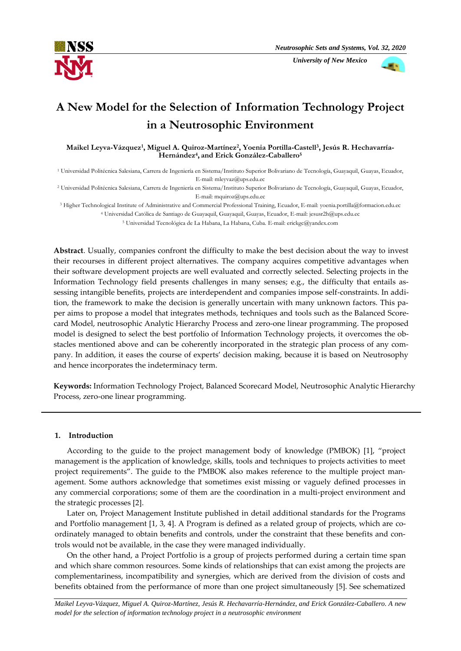

 *University of New Mexico*



# **A New Model for the Selection of Information Technology Project in a Neutrosophic Environment**

**Maikel Leyva-Vázquez<sup>1</sup> , Miguel A. Quiroz-Martínez<sup>2</sup> , Yoenia Portilla-Castell<sup>3</sup> , Jesús R. Hechavarría-Hernández<sup>4</sup> , and Erick González-Caballero<sup>5</sup>**

<sup>1</sup> Universidad Politécnica Salesiana, Carrera de Ingeniería en Sistema/Instituto Superior Bolivariano de Tecnología, Guayaquil, Guayas, Ecuador, E-mail: mleyvaz@ups.edu.ec

<sup>2</sup> Universidad Politécnica Salesiana, Carrera de Ingeniería en Sistema/Instituto Superior Bolivariano de Tecnología, Guayaquil, Guayas, Ecuador, E-mail[: mquiroz@ups.edu.ec](mailto:mquiroz@ups.edu.ec)

<sup>3</sup> Higher Technological Institute of Administrative and Commercial Professional Training, Ecuador, E-mail: yoenia.portilla@formacion.edu.ec <sup>4</sup> Universidad Católica de Santiago de Guayaquil, Guayaquil, Guayas, Ecuador, E-mail: jesusr2h@ups.edu.ec <sup>5</sup> Universidad Tecnológica de La Habana, La Habana, Cuba. E-mail: erickgc@yandex.com

**Abstract**. Usually, companies confront the difficulty to make the best decision about the way to invest their recourses in different project alternatives. The company acquires competitive advantages when their software development projects are well evaluated and correctly selected. Selecting projects in the Information Technology field presents challenges in many senses; e.g., the difficulty that entails assessing intangible benefits, projects are interdependent and companies impose self-constraints. In addition, the framework to make the decision is generally uncertain with many unknown factors. This paper aims to propose a model that integrates methods, techniques and tools such as the Balanced Scorecard Model, neutrosophic [Analytic Hierarchy Process](http://www.tucson.ars.ag.gov/icrw/Proceedings/Steiguer.pdf) and zero-one linear programming. The proposed model is designed to select the best portfolio of Information Technology projects, it overcomes the obstacles mentioned above and can be coherently incorporated in the strategic plan process of any company. In addition, it eases the course of experts' decision making, because it is based on Neutrosophy and hence incorporates the indeterminacy term.

**Keywords:** Information Technology Project, Balanced Scorecard Model, Neutrosophic Analytic Hierarchy Process, zero-one linear programming.

## **1. Introduction**

According to the guide to the project management body of knowledge (PMBOK) [1], "project management is the application of knowledge, skills, tools and techniques to projects activities to meet project requirements". The guide to the PMBOK also makes reference to the multiple project management. Some authors acknowledge that sometimes exist missing or vaguely defined processes in any commercial corporations; some of them are the coordination in a multi-project environment and the strategic processes [2].

Later on, Project Management Institute published in detail additional standards for the Programs and Portfolio management [1, 3, 4]. A Program is defined as a related group of projects, which are coordinately managed to obtain benefits and controls, under the constraint that these benefits and controls would not be available, in the case they were managed individually.

On the other hand, a Project Portfolio is a group of projects performed during a certain time span and which share common resources. Some kinds of relationships that can exist among the projects are complementariness, incompatibility and synergies, which are derived from the division of costs and benefits obtained from the performance of more than one project simultaneously [5]. See schematized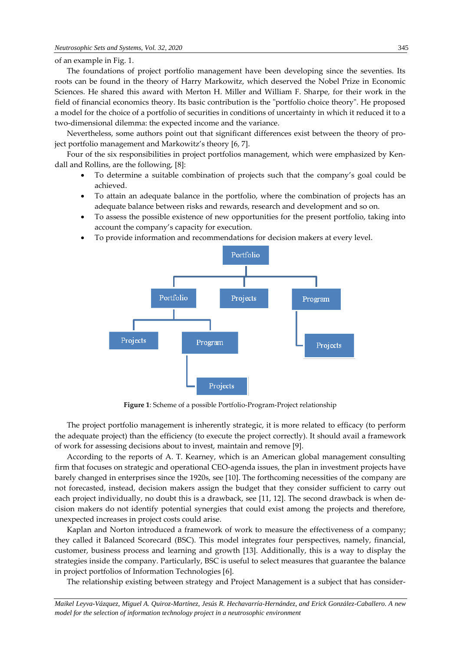#### of an example in Fig. 1.

The foundations of project portfolio management have been developing since the seventies. Its roots can be found in the theory of Harry Markowitz, which deserved the Nobel Prize in Economic Sciences. He shared this award with Merton H. Miller and William F. Sharpe, for their work in the field of financial economics theory. Its basic contribution is the "portfolio choice theory". He proposed a model for the choice of a portfolio of securities in conditions of uncertainty in which it reduced it to a two-dimensional dilemma: the expected income and the variance.

Nevertheless, some authors point out that significant differences exist between the theory of project portfolio management and Markowitz's theory [6, 7].

Four of the six responsibilities in project portfolios management, which were emphasized by Kendall and Rollins, are the following, [8]:

- To determine a suitable combination of projects such that the company's goal could be achieved.
- To attain an adequate balance in the portfolio, where the combination of projects has an adequate balance between risks and rewards, research and development and so on.
- To assess the possible existence of new opportunities for the present portfolio, taking into account the company's capacity for execution.
- To provide information and recommendations for decision makers at every level.



**Figure 1**: Scheme of a possible Portfolio-Program-Project relationship

The project portfolio management is inherently strategic, it is more related to efficacy (to perform the adequate project) than the efficiency (to execute the project correctly). It should avail a framework of work for assessing decisions about to invest, maintain and remove [9].

According to the reports of A. T. Kearney, which is an American global management consulting firm that focuses on strategic and operational CEO-agenda issues, the plan in investment projects have barely changed in enterprises since the 1920s, see [10]. The forthcoming necessities of the company are not forecasted, instead, decision makers assign the budget that they consider sufficient to carry out each project individually, no doubt this is a drawback, see [11, 12]. The second drawback is when decision makers do not identify potential synergies that could exist among the projects and therefore, unexpected increases in project costs could arise.

Kaplan and Norton introduced a framework of work to measure the effectiveness of a company; they called it Balanced Scorecard (BSC). This model integrates four perspectives, namely, financial, customer, business process and learning and growth [13]. Additionally, this is a way to display the strategies inside the company. Particularly, BSC is useful to select measures that guarantee the balance in project portfolios of Information Technologies [6].

The relationship existing between strategy and Project Management is a subject that has consider-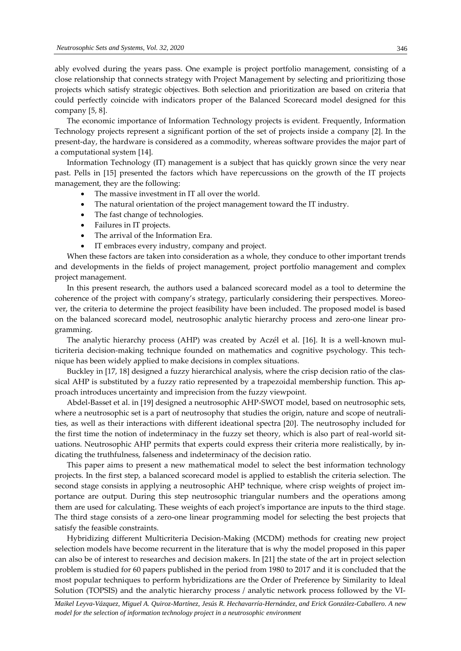ably evolved during the years pass. One example is project portfolio management, consisting of a close relationship that connects strategy with Project Management by selecting and prioritizing those projects which satisfy strategic objectives. Both selection and prioritization are based on criteria that could perfectly coincide with indicators proper of the Balanced Scorecard model designed for this company [5, 8].

The economic importance of Information Technology projects is evident. Frequently, Information Technology projects represent a significant portion of the set of projects inside a company [2]. In the present-day, the hardware is considered as a commodity, whereas software provides the major part of a computational system [14].

Information Technology (IT) management is a subject that has quickly grown since the very near past. Pells in [15] presented the factors which have repercussions on the growth of the IT projects management, they are the following:

- The massive investment in IT all over the world.
- The natural orientation of the project management toward the IT industry.
- The fast change of technologies.
- Failures in IT projects.
- The arrival of the Information Era.
- IT embraces every industry, company and project.

When these factors are taken into consideration as a whole, they conduce to other important trends and developments in the fields of project management, project portfolio management and complex project management.

In this present research, the authors used a balanced scorecard model as a tool to determine the coherence of the project with company's strategy, particularly considering their perspectives. Moreover, the criteria to determine the project feasibility have been included. The proposed model is based on the balanced scorecard model, neutrosophic analytic hierarchy process and zero-one linear programming.

The analytic hierarchy process (AHP) was created by Aczél et al. [16]. It is a well-known multicriteria decision-making technique founded on mathematics and cognitive psychology. This technique has been widely applied to make decisions in complex situations.

Buckley in [17, 18] designed a fuzzy hierarchical analysis, where the crisp decision ratio of the classical AHP is substituted by a fuzzy ratio represented by a trapezoidal membership function. This approach introduces uncertainty and imprecision from the fuzzy viewpoint.

Abdel-Basset et al. in [19] designed a neutrosophic AHP-SWOT model, based on neutrosophic sets, where a neutrosophic set is a part of neutrosophy that studies the origin, nature and scope of neutralities, as well as their interactions with different ideational spectra [20]. The neutrosophy included for the first time the notion of indeterminacy in the fuzzy set theory, which is also part of real-world situations. Neutrosophic AHP permits that experts could express their criteria more realistically, by indicating the truthfulness, falseness and indeterminacy of the decision ratio.

This paper aims to present a new mathematical model to select the best information technology projects. In the first step, a balanced scorecard model is applied to establish the criteria selection. The second stage consists in applying a neutrosophic AHP technique, where crisp weights of project importance are output. During this step neutrosophic triangular numbers and the operations among them are used for calculating. These weights of each project's importance are inputs to the third stage. The third stage consists of a zero-one linear programming model for selecting the best projects that satisfy the feasible constraints.

Hybridizing different Multicriteria Decision-Making (MCDM) methods for creating new project selection models have become recurrent in the literature that is why the model proposed in this paper can also be of interest to researches and decision makers. In [21] the state of the art in project selection problem is studied for 60 papers published in the period from 1980 to 2017 and it is concluded that the most popular techniques to perform hybridizations are the Order of Preference by Similarity to Ideal Solution (TOPSIS) and the analytic hierarchy process / analytic network process followed by the VI-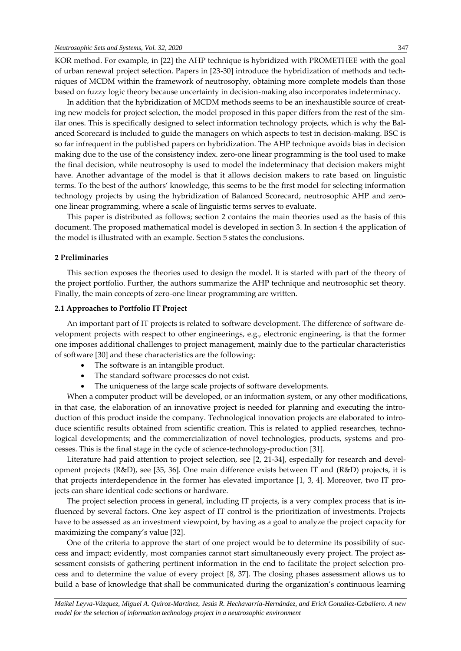KOR method. For example, in [22] the AHP technique is hybridized with PROMETHEE with the goal of urban renewal project selection. Papers in [23-30] introduce the hybridization of methods and techniques of MCDM within the framework of neutrosophy, obtaining more complete models than those based on fuzzy logic theory because uncertainty in decision-making also incorporates indeterminacy.

In addition that the hybridization of MCDM methods seems to be an inexhaustible source of creating new models for project selection, the model proposed in this paper differs from the rest of the similar ones. This is specifically designed to select information technology projects, which is why the Balanced Scorecard is included to guide the managers on which aspects to test in decision-making. BSC is so far infrequent in the published papers on hybridization. The AHP technique avoids bias in decision making due to the use of the consistency index. zero-one linear programming is the tool used to make the final decision, while neutrosophy is used to model the indeterminacy that decision makers might have. Another advantage of the model is that it allows decision makers to rate based on linguistic terms. To the best of the authors' knowledge, this seems to be the first model for selecting information technology projects by using the hybridization of Balanced Scorecard, neutrosophic AHP and zeroone linear programming, where a scale of linguistic terms serves to evaluate.

This paper is distributed as follows; section 2 contains the main theories used as the basis of this document. The proposed mathematical model is developed in section 3. In section 4 the application of the model is illustrated with an example. Section 5 states the conclusions.

## **2 Preliminaries**

This section exposes the theories used to design the model. It is started with part of the theory of the project portfolio. Further, the authors summarize the AHP technique and neutrosophic set theory. Finally, the main concepts of zero-one linear programming are written.

# **2.1 Approaches to Portfolio IT Project**

An important part of IT projects is related to software development. The difference of software development projects with respect to other engineerings, e.g., electronic engineering, is that the former one imposes additional challenges to project management, mainly due to the particular characteristics of software [30] and these characteristics are the following:

- The software is an intangible product.
- The standard software processes do not exist.
- The uniqueness of the large scale projects of software developments.

When a computer product will be developed, or an information system, or any other modifications, in that case, the elaboration of an innovative project is needed for planning and executing the introduction of this product inside the company. Technological innovation projects are elaborated to introduce scientific results obtained from scientific creation. This is related to applied researches, technological developments; and the commercialization of novel technologies, products, systems and processes. This is the final stage in the cycle of science-technology-production [31].

Literature had paid attention to project selection, see [2, 21-34], especially for research and development projects (R&D), see [35, 36]. One main difference exists between IT and (R&D) projects, it is that projects interdependence in the former has elevated importance [1, 3, 4]. Moreover, two IT projects can share identical code sections or hardware.

The project selection process in general, including IT projects, is a very complex process that is influenced by several factors. One key aspect of IT control is the prioritization of investments. Projects have to be assessed as an investment viewpoint, by having as a goal to analyze the project capacity for maximizing the company's value [32].

One of the criteria to approve the start of one project would be to determine its possibility of success and impact; evidently, most companies cannot start simultaneously every project. The project assessment consists of gathering pertinent information in the end to facilitate the project selection process and to determine the value of every project [8, 37]. The closing phases assessment allows us to build a base of knowledge that shall be communicated during the organization's continuous learning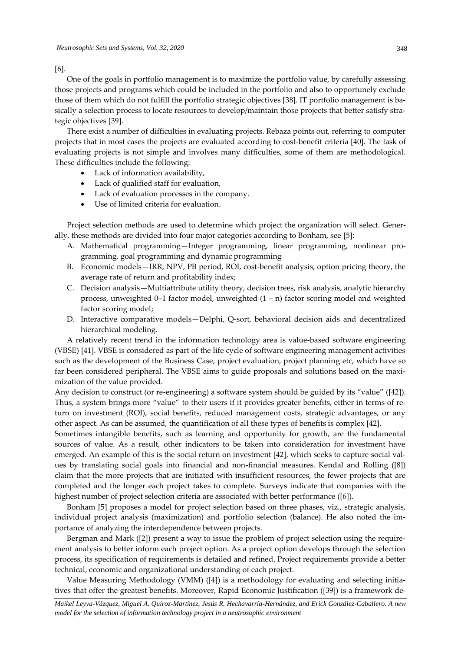[6].

One of the goals in portfolio management is to maximize the portfolio value, by carefully assessing those projects and programs which could be included in the portfolio and also to opportunely exclude those of them which do not fulfill the portfolio strategic objectives [38]. IT portfolio management is basically a selection process to locate resources to develop/maintain those projects that better satisfy strategic objectives [39].

There exist a number of difficulties in evaluating projects. Rebaza points out, referring to computer projects that in most cases the projects are evaluated according to cost-benefit criteria [40]. The task of evaluating projects is not simple and involves many difficulties, some of them are methodological. These difficulties include the following:

- Lack of information availability,
- Lack of qualified staff for evaluation,
- Lack of evaluation processes in the company.
- Use of limited criteria for evaluation.

Project selection methods are used to determine which project the organization will select. Generally, these methods are divided into four major categories according to Bonham, see [5]:

- A. Mathematical programming—Integer programming, linear programming, nonlinear programming, goal programming and dynamic programming
- B. Economic models—IRR, NPV, PB period, ROI, cost-benefit analysis, option pricing theory, the average rate of return and profitability index;
- C. Decision analysis—Multiattribute utility theory, decision trees, risk analysis, analytic hierarchy process, unweighted  $0-1$  factor model, unweighted  $(1 - n)$  factor scoring model and weighted factor scoring model;
- D. Interactive comparative models—Delphi, Q-sort, behavioral decision aids and decentralized hierarchical modeling.

A relatively recent trend in the information technology area is value-based software engineering (VBSE) [41]. VBSE is considered as part of the life cycle of software engineering management activities such as the development of the Business Case, project evaluation, project planning etc, which have so far been considered peripheral. The VBSE aims to guide proposals and solutions based on the maximization of the value provided.

Any decision to construct (or re-engineering) a software system should be guided by its "value" ([42]). Thus, a system brings more "value" to their users if it provides greater benefits, either in terms of return on investment (ROI), social benefits, reduced management costs, strategic advantages, or any other aspect. As can be assumed, the quantification of all these types of benefits is complex [42].

Sometimes intangible benefits, such as learning and opportunity for growth, are the fundamental sources of value. As a result, other indicators to be taken into consideration for investment have emerged. An example of this is the social return on investment [42], which seeks to capture social values by translating social goals into financial and non-financial measures. Kendal and Rolling ([8]) claim that the more projects that are initiated with insufficient resources, the fewer projects that are completed and the longer each project takes to complete. Surveys indicate that companies with the highest number of project selection criteria are associated with better performance ([6]).

Bonham [5] proposes a model for project selection based on three phases, viz., strategic analysis, individual project analysis (maximization) and portfolio selection (balance). He also noted the importance of analyzing the interdependence between projects.

Bergman and Mark ([2]) present a way to issue the problem of project selection using the requirement analysis to better inform each project option. As a project option develops through the selection process, its specification of requirements is detailed and refined. Project requirements provide a better technical, economic and organizational understanding of each project.

Value Measuring Methodology (VMM) ([4]) is a methodology for evaluating and selecting initiatives that offer the greatest benefits. Moreover, Rapid Economic Justification ([39]) is a framework de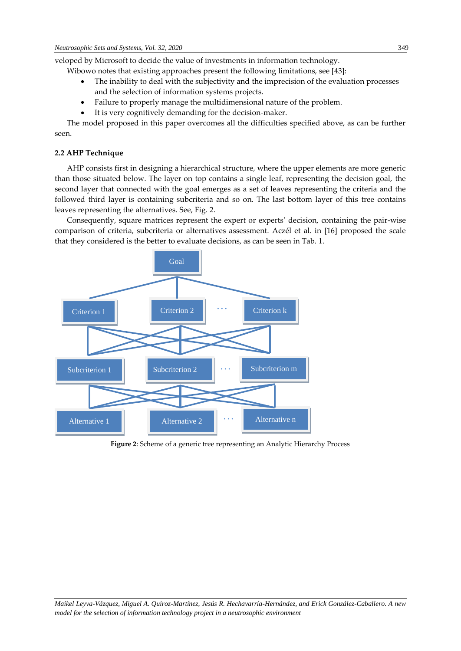veloped by Microsoft to decide the value of investments in information technology.

Wibowo notes that existing approaches present the following limitations, see [43]:

- The inability to deal with the subjectivity and the imprecision of the evaluation processes and the selection of information systems projects.
- Failure to properly manage the multidimensional nature of the problem.
- It is very cognitively demanding for the decision-maker.

The model proposed in this paper overcomes all the difficulties specified above, as can be further seen.

# **2.2 AHP Technique**

AHP consists first in designing a hierarchical structure, where the upper elements are more generic than those situated below. The layer on top contains a single leaf, representing the decision goal, the second layer that connected with the goal emerges as a set of leaves representing the criteria and the followed third layer is containing subcriteria and so on. The last bottom layer of this tree contains leaves representing the alternatives. See, Fig. 2.

Consequently, square matrices represent the expert or experts' decision, containing the pair-wise comparison of criteria, subcriteria or alternatives assessment. Aczél et al. in [16] proposed the scale that they considered is the better to evaluate decisions, as can be seen in Tab. 1.



**Figure 2**: Scheme of a generic tree representing an Analytic Hierarchy Process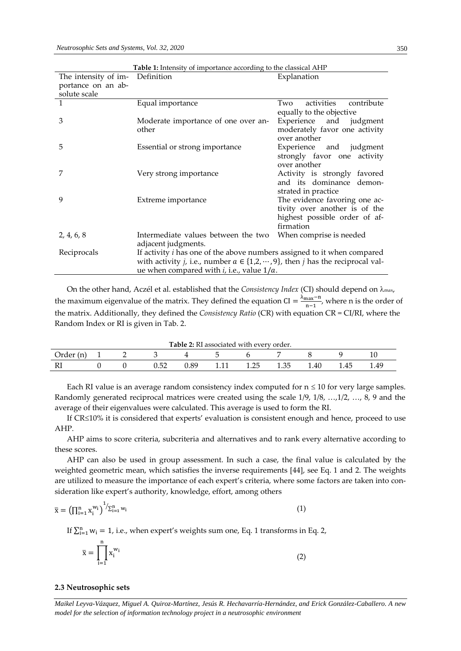| The intensity of im- | <b>Tuber</b> 1. Interiorly of importance according to the etabolear <i>F</i> irin<br>Definition                                                                                                                                            | Explanation                                                                                                  |
|----------------------|--------------------------------------------------------------------------------------------------------------------------------------------------------------------------------------------------------------------------------------------|--------------------------------------------------------------------------------------------------------------|
| portance on an ab-   |                                                                                                                                                                                                                                            |                                                                                                              |
| solute scale         |                                                                                                                                                                                                                                            |                                                                                                              |
| 1                    | Equal importance                                                                                                                                                                                                                           | activities contribute<br>Two<br>equally to the objective                                                     |
| 3                    | Moderate importance of one over an-<br>other                                                                                                                                                                                               | Experience and judgment<br>moderately favor one activity<br>over another                                     |
| 5                    | Essential or strong importance                                                                                                                                                                                                             | Experience and judgment<br>strongly favor one activity<br>over another                                       |
| 7                    | Very strong importance                                                                                                                                                                                                                     | Activity is strongly favored<br>and its dominance demon-<br>strated in practice                              |
| 9                    | Extreme importance                                                                                                                                                                                                                         | The evidence favoring one ac-<br>tivity over another is of the<br>highest possible order of af-<br>firmation |
| 2, 4, 6, 8           | Intermediate values between the two<br>adjacent judgments.                                                                                                                                                                                 | When comprise is needed                                                                                      |
| Reciprocals          | If activity <i>i</i> has one of the above numbers assigned to it when compared<br>with activity <i>j</i> , i.e., number $a \in \{1,2,\dots,9\}$ , then <i>j</i> has the reciprocal val-<br>ue when compared with $i$ , i.e., value $1/a$ . |                                                                                                              |

**Table 1:** Intensity of importance according to the classical AHP

On the other hand, Aczél et al. established that the *Consistency Index* (CI) should depend on  $\lambda_{\text{max}}$ , the maximum eigenvalue of the matrix. They defined the equation CI =  $\frac{\lambda_{\text{max}} - n}{n-1}$  $\frac{\text{max}}{\text{n}-1}$ , where n is the order of the matrix. Additionally, they defined the *Consistency Ratio* (CR) with equation CR = CI/RI, where the Random Index or RI is given in Tab. 2.

| Table 2: RI associated with every order. |  |  |  |
|------------------------------------------|--|--|--|
|------------------------------------------|--|--|--|

| Order<br>(n) |  |            |           |   |              |      |            |      | ΙU   |
|--------------|--|------------|-----------|---|--------------|------|------------|------|------|
| $_{\rm RI}$  |  | 片つ<br>∪.∪∠ | QQ<br>∪.∪ | . | つら<br>ن کے ب | ⊥.∪∪ | Δſ<br>1.IV | 1.45 | 1.49 |

Each RI value is an average random consistency index computed for  $n \leq 10$  for very large samples. Randomly generated reciprocal matrices were created using the scale 1/9, 1/8, …,1/2, …, 8, 9 and the average of their eigenvalues were calculated. This average is used to form the RI.

If CR<10% it is considered that experts' evaluation is consistent enough and hence, proceed to use AHP.

AHP aims to score criteria, subcriteria and alternatives and to rank every alternative according to these scores.

AHP can also be used in group assessment. In such a case, the final value is calculated by the weighted geometric mean, which satisfies the inverse requirements [44], see Eq. 1 and 2. The weights are utilized to measure the importance of each expert's criteria, where some factors are taken into consideration like expert's authority, knowledge, effort, among others

$$
\overline{\mathbf{x}} = \left(\prod_{i=1}^{n} \mathbf{x}_i^{w_i}\right)^{1} / \sum_{i=1}^{n} w_i
$$
\n<sup>(1)</sup>

If  $\sum_{i=1}^{n} w_i = 1$ , i.e., when expert's weights sum one, Eq. 1 transforms in Eq. 2,

$$
\overline{\mathbf{x}} = \prod_{i=1}^{n} \mathbf{x}_{i}^{w_{i}}
$$
 (2)

## **2.3 Neutrosophic sets**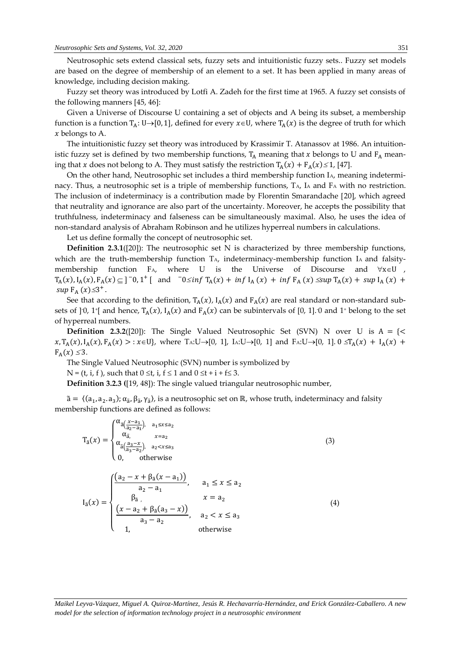Neutrosophic sets extend classical sets, fuzzy sets and intuitionistic fuzzy sets.. Fuzzy set models are based on the degree of membership of an element to a set. It has been applied in many areas of knowledge, including decision making.

Fuzzy set theory was introduced by Lotfi A. Zadeh for the first time at 1965. A fuzzy set consists of the following manners [45, 46]:

Given a Universe of Discourse U containing a set of objects and A being its subset, a membership function is a function  $T_A: U\rightarrow [0, 1]$ , defined for every  $x\in U$ , where  $T_A(x)$  is the degree of truth for which  $x$  belongs to A.

The intuitionistic fuzzy set theory was introduced by Krassimir T. Atanassov at 1986. An intuitionistic fuzzy set is defined by two membership functions,  $T_A$  meaning that x belongs to U and  $F_A$  meaning that x does not belong to A. They must satisfy the restriction  $T_A(x) + F_A(x) \leq 1$ , [47].

On the other hand, Neutrosophic set includes a third membership function IA, meaning indeterminacy. Thus, a neutrosophic set is a triple of membership functions, T<sub>A</sub>, I<sub>A</sub> and F<sub>A</sub> with no restriction. The inclusion of indeterminacy is a contribution made by Florentin Smarandache [20], which agreed that neutrality and ignorance are also part of the uncertainty. Moreover, he accepts the possibility that truthfulness, indeterminacy and falseness can be simultaneously maximal. Also, he uses the idea of non-standard analysis of Abraham Robinson and he utilizes hyperreal numbers in calculations.

Let us define formally the concept of neutrosophic set.

**Definition 2.3.1**([20]): The neutrosophic set N is characterized by three membership functions, which are the truth-membership function T<sub>A</sub>, indeterminacy-membership function I<sub>A</sub> and falsitymembership function  $FA$ , where U is the Universe of Discourse and  $\forall x \in U$  ,  $T_A(x)$ ,  $I_A(x)$ ,  $F_A(x) \subseteq ]\,0,1^+[$  and  $\int 0 \le \inf T_A(x) + \inf I_A(x) + \inf F_A(x) \le \sup T_A(x) + \sup I_A(x) + \int$ sup  $F_A(x) \leq 3^+$ .

See that according to the definition,  $T_A(x)$ ,  $I_A(x)$  and  $F_A(x)$  are real standard or non-standard subsets of  $]$ <sup>-0</sup>, 1<sup>+</sup>[ and hence,  $T_A(x)$ ,  $I_A(x)$  and  $F_A(x)$  can be subintervals of [0, 1].<sup>-0</sup> and 1<sup>+</sup> belong to the set of hyperreal numbers.

**Definition 2.3.2**([20]): The Single Valued Neutrosophic Set (SVN) N over U is  $A = \{\leq$  $x, T_A(x), I_A(x), F_A(x) > : x \in U$ , where TA:U $\rightarrow$ [0, 1], IA:U $\rightarrow$ [0, 1] and FA:U $\rightarrow$ [0, 1]. 0  $\le T_A(x) + I_A(x) + I_A(x)$  $F_A(x) \leq 3$ .

The Single Valued Neutrosophic (SVN) number is symbolized by

 $N = (t, i, f)$ , such that  $0 \le t$ , i,  $f \le 1$  and  $0 \le t + i + f \le 3$ .

**Definition 3.2.3 (**[19, 48]): The single valued triangular neutrosophic number,

 $\tilde{a} = \langle (a_1, a_2, a_3); \alpha_{\tilde{a}}, \beta_{\tilde{a}}, \gamma_{\tilde{a}} \rangle$ , is a neutrosophic set on ℝ, whose truth, indeterminacy and falsity membership functions are defined as follows:

$$
T_{\tilde{a}}(x) = \begin{cases} \alpha_{\tilde{a}\left(\frac{x-a_1}{a_2-a_1}\right), & a_1 \le x \le a_2\\ \alpha_{\tilde{a}, & x=a_2\\ \alpha_{\tilde{a}\left(\frac{a_3-x}{a_3-a_2}\right), & a_2 < x \le a_3\\ 0, & \text{otherwise} \end{cases} \tag{3}
$$

$$
I_{\tilde{a}}(x) = \begin{cases} \frac{(a_2 - x + \beta_{\tilde{a}}(x - a_1))}{a_2 - a_1}, & a_1 \le x \le a_2\\ \beta_{\tilde{a}}, & x = a_2\\ \frac{(x - a_2 + \beta_{\tilde{a}}(a_3 - x))}{a_3 - a_2}, & a_2 < x \le a_3\\ 1, & \text{otherwise} \end{cases} \tag{4}
$$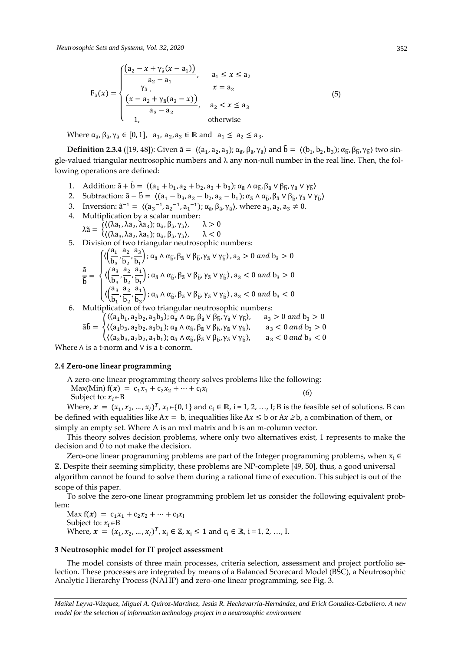$$
F_{\tilde{a}}(x) = \begin{cases} \frac{(a_2 - x + \gamma_{\tilde{a}}(x - a_1))}{a_2 - a_1}, & a_1 \le x \le a_2\\ \frac{\gamma_{\tilde{a}}}{\gamma_{\tilde{a}}}, & x = a_2\\ \frac{(x - a_2 + \gamma_{\tilde{a}}(a_3 - x))}{a_3 - a_2}, & a_2 < x \le a_3\\ 1, & \text{otherwise} \end{cases} \tag{5}
$$

Where  $\alpha_{\tilde{a}}, \beta_{\tilde{a}}, \gamma_{\tilde{a}} \in [0,1]$ ,  $a_1, a_2, a_3 \in \mathbb{R}$  and  $a_1 \le a_2 \le a_3$ .

**Definition 2.3.4** ([19, 48]): Given  $\tilde{a} = \langle (a_1, a_2, a_3); \alpha_{\tilde{a}}, \beta_{\tilde{a}}, \gamma_{\tilde{a}} \rangle$  and  $\tilde{b} = \langle (b_1, b_2, b_3); \alpha_{\tilde{b}}, \beta_{\tilde{b}}, \gamma_{\tilde{b}} \rangle$  two single-valued triangular neutrosophic numbers and  $\lambda$  any non-null number in the real line. Then, the following operations are defined:

- 1. Addition:  $\tilde{a} + \tilde{b} = \langle (a_1 + b_1, a_2 + b_2, a_3 + b_3) ; \alpha_{\tilde{a}} \wedge \alpha_{\tilde{b}}, \beta_{\tilde{a}} \vee \beta_{\tilde{b}}, \gamma_{\tilde{a}} \vee \gamma_{\tilde{b}} \rangle$
- 2. Subtraction:  $\tilde{a} \tilde{b} = \langle (a_1 b_3, a_2 b_2, a_3 b_1) ; \alpha_{\tilde{a}} \wedge \alpha_{\tilde{b}}, \beta_{\tilde{a}} \vee \beta_{\tilde{b}}, \gamma_{\tilde{a}} \vee \gamma_{\tilde{b}} \rangle$
- 3. Inversion:  $\tilde{a}^{-1} = \langle (a_3^{-1}, a_2^{-1}, a_1^{-1}); \alpha_{\tilde{a}}, \beta_{\tilde{a}}, \gamma_{\tilde{a}} \rangle$ , where  $a_1, a_2, a_3 \neq 0$ .
- 4. Multiplication by a scalar number:  $λ$  $\tilde{a}$  =  $\langle (\lambda a_1, \lambda a_2, \lambda a_3); \alpha_{\tilde{a}}, \beta_{\tilde{a}}, \gamma_{\tilde{a}} \rangle$  $\lambda > 0$  $\langle (\lambda a_3, \lambda a_2, \lambda a_1); \alpha_{\tilde{a}}, \beta_{\tilde{a}}, \gamma_{\tilde{a}}$  $\lambda < 0$
- 5. Division of two triangular neutrosophic numbers:

$$
\frac{\tilde{a}}{\tilde{b}}=\begin{cases}\langle\Big(\frac{a_1}{b_3},\frac{a_2}{b_2},\frac{a_3}{b_1}\Big);\alpha_{\tilde{a}}\wedge\alpha_{\tilde{b}},\beta_{\tilde{a}}\vee\beta_{\tilde{b}},\gamma_{\tilde{a}}\vee\gamma_{\tilde{b}}\rangle,a_3>0\ and\ b_3>0\\\langle\Big(\frac{a_3}{b_3},\frac{a_2}{b_2},\frac{a_1}{b_1}\Big);\alpha_{\tilde{a}}\wedge\alpha_{\tilde{b}},\beta_{\tilde{a}}\vee\beta_{\tilde{b}},\gamma_{\tilde{a}}\vee\gamma_{\tilde{b}}\rangle,a_3<0\ and\ b_3>0\\\langle\Big(\frac{a_3}{b_1},\frac{a_2}{b_2},\frac{a_1}{b_3}\Big);\alpha_{\tilde{a}}\wedge\alpha_{\tilde{b}},\beta_{\tilde{a}}\vee\beta_{\tilde{b}},\gamma_{\tilde{a}}\vee\gamma_{\tilde{b}}\rangle,a_3<0\ and\ b_3<0\end{cases}
$$

6. Multiplication of two triangular neutrosophic numbers:

$$
\tilde{a}\tilde{b} = \begin{cases} \langle (a_1b_1, a_2b_2, a_3b_3); \alpha_{\tilde{a}} \wedge \alpha_{\tilde{b}}, \beta_{\tilde{a}} \vee \beta_{\tilde{b}}, \gamma_{\tilde{a}} \vee \gamma_{\tilde{b}} \rangle, & a_3 > 0 \text{ and } b_3 > 0 \\ \langle (a_1b_3, a_2b_2, a_3b_1); \alpha_{\tilde{a}} \wedge \alpha_{\tilde{b}}, \beta_{\tilde{a}} \vee \beta_{\tilde{b}}, \gamma_{\tilde{a}} \vee \gamma_{\tilde{b}} \rangle, & a_3 < 0 \text{ and } b_3 > 0 \\ \langle (a_3b_3, a_2b_2, a_1b_1); \alpha_{\tilde{a}} \wedge \alpha_{\tilde{b}}, \beta_{\tilde{a}} \vee \beta_{\tilde{b}}, \gamma_{\tilde{a}} \vee \gamma_{\tilde{b}} \rangle, & a_3 < 0 \text{ and } b_3 < 0 \end{cases}
$$

Where ∧ is a t-norm and ∨ is a t-conorm.

### **2.4 Zero-one linear programming**

A zero-one linear programming theory solves problems like the following:

Max(Min)  $f(x) = c_1x_1 + c_2x_2 + \cdots + c_lx_l$ 

Subject to:  $x_i \in B$ 

Where,  $\boldsymbol{x} = (x_1, x_2, ..., x_l)^T$ ,  $x_i \in \{0, 1\}$  and  $c_i \in \mathbb{R}$ ,  $i = 1, 2, ..., I$ ; B is the feasible set of solutions. B can be defined with equalities like  $Ax = b$ , inequalities like  $Ax \leq b$  or  $Ax \geq b$ , a combination of them, or simply an empty set. Where A is an mxI matrix and b is an m-column vector.

(6)

This theory solves decision problems, where only two alternatives exist, 1 represents to make the decision and 0 to not make the decision.

Zero-one linear programming problems are part of the Integer programming problems, when  $x_i \in$ ℤ. Despite their seeming simplicity, these problems are NP-complete [49, 50], thus, a good universal algorithm cannot be found to solve them during a rational time of execution. This subject is out of the scope of this paper.

To solve the zero-one linear programming problem let us consider the following equivalent problem:

Max  $f(x) = c_1x_1 + c_2x_2 + \cdots + c_lx_l$ Subject to:  $x_i \in B$ Where,  $\bm{x} = (x_1, x_2, ..., x_l)^T$ ,  $x_i \in \mathbb{Z}$ ,  $x_i \leq 1$  and  $c_i \in \mathbb{R}$ ,  $i = 1, 2, ..., I$ .

# **3 Neutrosophic model for IT project assessment**

The model consists of three main processes, criteria selection, assessment and project portfolio selection. These processes are integrated by means of a Balanced Scorecard Model (BSC), a Neutrosophic Analytic Hierarchy Process (NAHP) and zero-one linear programming, see Fig. 3.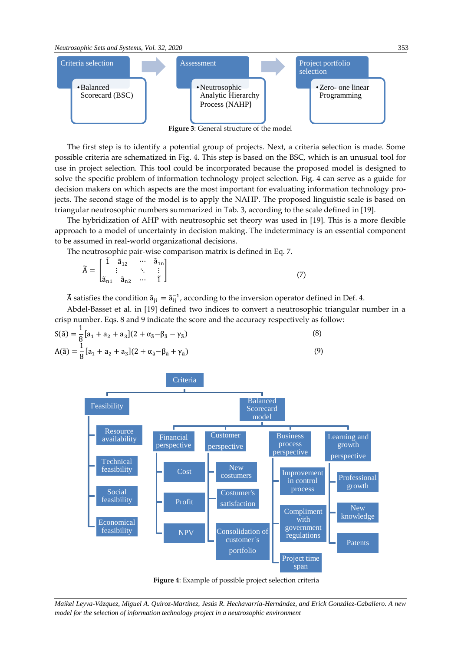

**Figure 3**: General structure of the model

The first step is to identify a potential group of projects. Next, a criteria selection is made. Some possible criteria are schematized in Fig. 4. This step is based on the BSC, which is an unusual tool for use in project selection. This tool could be incorporated because the proposed model is designed to solve the specific problem of information technology project selection. Fig. 4 can serve as a guide for decision makers on which aspects are the most important for evaluating information technology projects. The second stage of the model is to apply the NAHP. The proposed linguistic scale is based on triangular neutrosophic numbers summarized in Tab. 3, according to the scale defined in [19].

The hybridization of AHP with neutrosophic set theory was used in [19]. This is a more flexible approach to a model of uncertainty in decision making. The indeterminacy is an essential component to be assumed in real-world organizational decisions.

The neutrosophic pair-wise comparison matrix is defined in Eq. 7.

$$
\widetilde{A} = \begin{bmatrix} \widetilde{1} & \widetilde{a}_{12} & \cdots & \widetilde{a}_{1n} \\ \vdots & & \ddots & \vdots \\ \widetilde{a}_{n1} & \widetilde{a}_{n2} & \cdots & \widetilde{1} \end{bmatrix}
$$
\n(7)

 $\widetilde{A}$  satisfies the condition  $\widetilde{a}_{ji} = \widetilde{a}_{ij}^{-1}$ , according to the inversion operator defined in Def. 4.

Abdel-Basset et al. in [19] defined two indices to convert a neutrosophic triangular number in a crisp number. Eqs. 8 and 9 indicate the score and the accuracy respectively as follow:

$$
S(\tilde{a}) = \frac{1}{8} [a_1 + a_2 + a_3](2 + \alpha_{\tilde{a}} - \beta_{\tilde{a}} - \gamma_{\tilde{a}})
$$
  
\n
$$
A(\tilde{a}) = \frac{1}{8} [a_1 + a_2 + a_3](2 + \alpha_{\tilde{a}} - \beta_{\tilde{a}} + \gamma_{\tilde{a}})
$$
\n(9)



**Figure 4**: Example of possible project selection criteria

*Maikel Leyva-Vázquez, Miguel A. Quiroz-Martínez, Jesús R. Hechavarría-Hernández, and Erick González-Caballero. A new model for the selection of information technology project in a neutrosophic environment*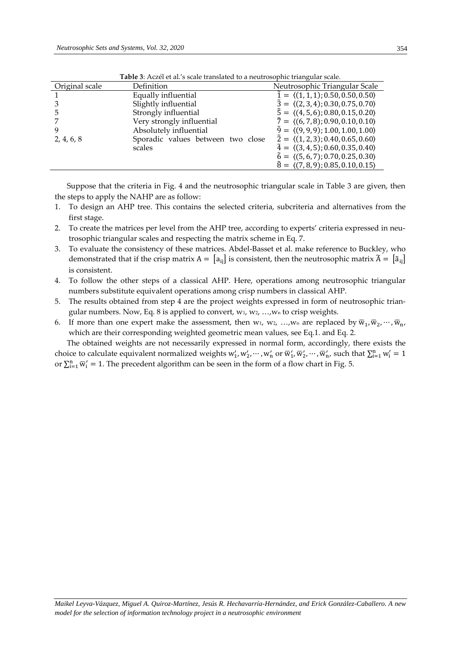|                | <b>Tuble</b> 6, Ticket et al. 5 searc translated to a heathologine trainganal searc. |                                                           |
|----------------|--------------------------------------------------------------------------------------|-----------------------------------------------------------|
| Original scale | Definition                                                                           | Neutrosophic Triangular Scale                             |
|                | Equally influential                                                                  | $\tilde{1} = \langle (1,1,1); 0.50, 0.50, 0.50 \rangle$   |
|                | Slightly influential                                                                 | $\tilde{3} = \langle (2,3,4); 0.30, 0.75, 0.70 \rangle$   |
| 5              | Strongly influential                                                                 | $\tilde{5} = \langle (4, 5, 6); 0.80, 0.15, 0.20 \rangle$ |
|                | Very strongly influential                                                            | $\tilde{7} = \langle (6, 7, 8); 0.90, 0.10, 0.10 \rangle$ |
|                | Absolutely influential                                                               | $\tilde{9} = \langle (9, 9, 9); 1.00, 1.00, 1.00 \rangle$ |
| 2, 4, 6, 8     | Sporadic values between two close                                                    | $\tilde{2} = \langle (1, 2, 3); 0.40, 0.65, 0.60 \rangle$ |
|                | scales                                                                               | $\tilde{4} = \langle (3, 4, 5); 0.60, 0.35, 0.40 \rangle$ |
|                |                                                                                      | $\tilde{6} = \langle (5, 6, 7); 0.70, 0.25, 0.30 \rangle$ |
|                |                                                                                      | $\tilde{8} = \langle (7,8,9); 0.85, 0.10, 0.15 \rangle$   |

**Table 3:** Aczél et al.'s scale translated to a neutrosophic triangular scale.

Suppose that the criteria in Fig. 4 and the neutrosophic triangular scale in Table 3 are given, then the steps to apply the NAHP are as follow:

- 1. To design an AHP tree. This contains the selected criteria, subcriteria and alternatives from the first stage.
- 2. To create the matrices per level from the AHP tree, according to experts' criteria expressed in neutrosophic triangular scales and respecting the matrix scheme in Eq. 7.
- 3. To evaluate the consistency of these matrices. Abdel-Basset et al. make reference to Buckley, who demonstrated that if the crisp matrix  $A = [a_{ij}]$  is consistent, then the neutrosophic matrix  $\tilde{A} = [\tilde{a}_{ij}]$ is consistent.
- 4. To follow the other steps of a classical AHP. Here, operations among neutrosophic triangular numbers substitute equivalent operations among crisp numbers in classical AHP.
- 5. The results obtained from step 4 are the project weights expressed in form of neutrosophic triangular numbers. Now, Eq. 8 is applied to convert,  $w_1$ ,  $w_2$ , ..., $w_n$  to crisp weights.
- 6. If more than one expert make the assessment, then  $w_1$ ,  $w_2$ , ..., $w_n$  are replaced by  $\overline{w}_1$ ,  $\overline{w}_2$ ,  $\cdots$ ,  $\overline{w}_n$ , which are their corresponding weighted geometric mean values, see Eq.1. and Eq. 2.

The obtained weights are not necessarily expressed in normal form, accordingly, there exists the choice to calculate equivalent normalized weights  $w'_1, w'_2, \dots, w'_n$  or  $\overline{w}'_1, \overline{w}'_2, \dots, \overline{w}'_n$ , such that  $\sum_{i=1}^n w'_i = 1$ or  $\sum_{i=1}^{n} \overline{w}_i' = 1$ . The precedent algorithm can be seen in the form of a flow chart in Fig. 5.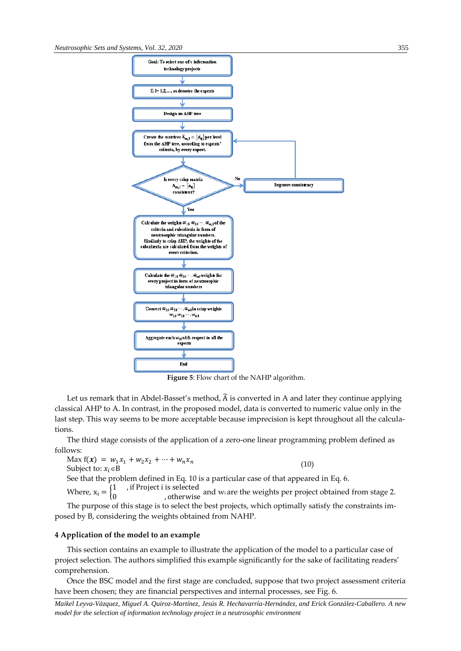

**Figure 5**: Flow chart of the NAHP algorithm.

Let us remark that in Abdel-Basset's method, Ã is converted in A and later they continue applying classical AHP to A. In contrast, in the proposed model, data is converted to numeric value only in the last step. This way seems to be more acceptable because imprecision is kept throughout all the calculations.

The third stage consists of the application of a zero-one linear programming problem defined as follows:

Max  $f(x) = w_1 x_1 + w_2 x_2 + \cdots + w_n x_n$ Subject to:  $x_i \in B$ 

See that the problem defined in Eq. 10 is a particular case of that appeared in Eq. 6.

Where,  $x_i = \begin{cases} 1 \\ 0 \end{cases}$ , if Project i is selected <sup>0</sup> , otherwise and wi are the weights per project obtained from stage 2.

(10)

The purpose of this stage is to select the best projects, which optimally satisfy the constraints imposed by B, considering the weights obtained from NAHP.

## **4 Application of the model to an example**

This section contains an example to illustrate the application of the model to a particular case of project selection. The authors simplified this example significantly for the sake of facilitating readers' comprehension.

Once the BSC model and the first stage are concluded, suppose that two project assessment criteria have been chosen; they are financial perspectives and internal processes, see Fig. 6.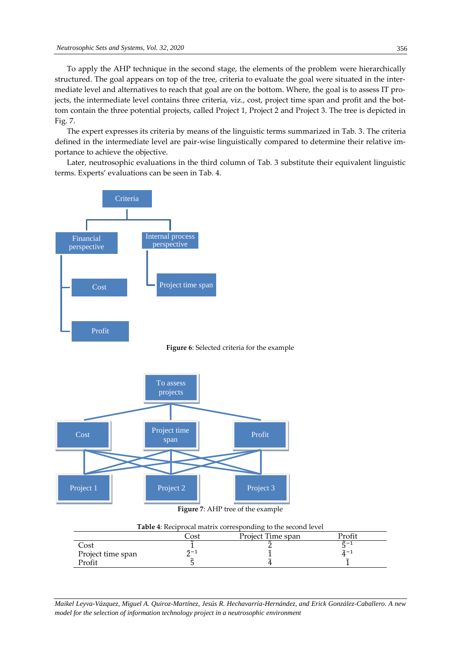To apply the AHP technique in the second stage, the elements of the problem were hierarchically structured. The goal appears on top of the tree, criteria to evaluate the goal were situated in the intermediate level and alternatives to reach that goal are on the bottom. Where, the goal is to assess IT projects, the intermediate level contains three criteria, viz., cost, project time span and profit and the bottom contain the three potential projects, called Project 1, Project 2 and Project 3. The tree is depicted in Fig. 7.

The expert expresses its criteria by means of the linguistic terms summarized in Tab. 3. The criteria defined in the intermediate level are pair-wise linguistically compared to determine their relative importance to achieve the objective.

Later, neutrosophic evaluations in the third column of Tab. 3 substitute their equivalent linguistic terms. Experts' evaluations can be seen in Tab. 4.



**Figure 6**: Selected criteria for the example



**Figure 7**: AHP tree of the example

| Table 4: Reciprocal matrix corresponding to the second level |                                     |  |  |  |  |  |
|--------------------------------------------------------------|-------------------------------------|--|--|--|--|--|
|                                                              | Profit<br>Project Time span<br>∑ost |  |  |  |  |  |
| Cost                                                         |                                     |  |  |  |  |  |
| Project time span                                            | $\tilde{2} - 1$                     |  |  |  |  |  |
| Profit                                                       |                                     |  |  |  |  |  |

*Maikel Leyva-Vázquez, Miguel A. Quiroz-Martínez, Jesús R. Hechavarría-Hernández, and Erick González-Caballero. A new model for the selection of information technology project in a neutrosophic environment*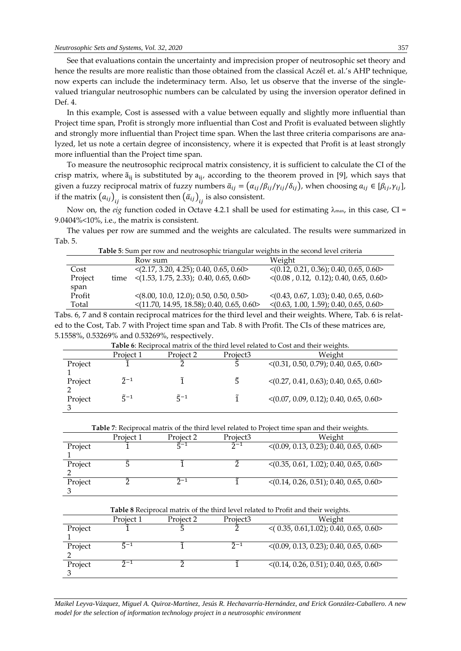See that evaluations contain the uncertainty and imprecision proper of neutrosophic set theory and hence the results are more realistic than those obtained from the classical Aczél et. al.'s AHP technique, now experts can include the indeterminacy term. Also, let us observe that the inverse of the singlevalued triangular neutrosophic numbers can be calculated by using the inversion operator defined in Def. 4.

In this example, Cost is assessed with a value between equally and slightly more influential than Project time span, Profit is strongly more influential than Cost and Profit is evaluated between slightly and strongly more influential than Project time span. When the last three criteria comparisons are analyzed, let us note a certain degree of inconsistency, where it is expected that Profit is at least strongly more influential than the Project time span.

To measure the neutrosophic reciprocal matrix consistency, it is sufficient to calculate the CI of the crisp matrix, where  $\tilde{a}_{ii}$  is substituted by  $a_{ii}$ , according to the theorem proved in [9], which says that given a fuzzy reciprocal matrix of fuzzy numbers  $\bar{a}_{ij} = (\alpha_{ij}/\beta_{ij}/\gamma_{ij}/\delta_{ij})$ , when choosing  $a_{ij} \in [\beta_{ij}, \gamma_{ij}]$ , if the matrix  $\left( a_{ij}\right) _{ij}$  is consistent then  $\left( \bar{a}_{ij}\right) _{ij}$  is also consistent.

Now on, the *eig* function coded in Octave 4.2.1 shall be used for estimating  $\lambda_{\text{max}}$ , in this case, CI = 9.0404%<10%, i.e., the matrix is consistent.

The values per row are summed and the weights are calculated. The results were summarized in Tab. 5.

|                   | Table 5: Sum per row and neutrosophic triangular weights in the second level criteria |                                                           |                                                        |  |  |  |  |  |
|-------------------|---------------------------------------------------------------------------------------|-----------------------------------------------------------|--------------------------------------------------------|--|--|--|--|--|
| Weight<br>Row sum |                                                                                       |                                                           |                                                        |  |  |  |  |  |
| Cost              |                                                                                       | $\langle 2.17, 3.20, 4.25 \rangle$ ; 0.40, 0.65, 0.60>    | $\langle (0.12, 0.21, 0.36); 0.40, 0.65, 0.60 \rangle$ |  |  |  |  |  |
| Project           | time                                                                                  | $\langle (1.53, 1.75, 2.33); 0.40, 0.65, 0.60 \rangle$    | $\langle (0.08, 0.12, 0.12); 0.40, 0.65, 0.60 \rangle$ |  |  |  |  |  |
| span              |                                                                                       |                                                           |                                                        |  |  |  |  |  |
| Profit            |                                                                                       | $\langle (8.00, 10.0, 12.0); 0.50, 0.50, 0.50 \rangle$    | $\langle (0.43, 0.67, 1.03); 0.40, 0.65, 0.60 \rangle$ |  |  |  |  |  |
| Total             |                                                                                       | $\langle (11.70, 14.95, 18.58); 0.40, 0.65, 0.60 \rangle$ | $\langle (0.63, 1.00, 1.59); 0.40, 0.65, 0.60 \rangle$ |  |  |  |  |  |

Tabs. 6, 7 and 8 contain reciprocal matrices for the third level and their weights. Where, Tab. 6 is related to the Cost, Tab. 7 with Project time span and Tab. 8 with Profit. The CIs of these matrices are, 5.1558%, 0.53269% and 0.53269%, respectively.

|         |                       |                         |                      | Table v. Recibiveal matrix of the time fever related to Cost and their weights. |
|---------|-----------------------|-------------------------|----------------------|---------------------------------------------------------------------------------|
|         | Project 1             | Project 2               | Project <sub>3</sub> | Weight                                                                          |
| Project |                       |                         |                      | $\langle (0.31, 0.50, 0.79); 0.40, 0.65, 0.60 \rangle$                          |
| Project | $\tilde{2}$ -1        |                         |                      | $\langle (0.27, 0.41, 0.63); 0.40, 0.65, 0.60 \rangle$                          |
| Project | $\tilde{\epsilon}$ -1 | $\tilde{\mathbf{r}}$ -1 |                      | $\langle (0.07, 0.09, 0.12); 0.40, 0.65, 0.60 \rangle$                          |

**Table 6**: Reciprocal matrix of the third level related to Cost and their weights.

| Table 7: Reciprocal matrix of the third level related to Project time span and their weights. |
|-----------------------------------------------------------------------------------------------|
|-----------------------------------------------------------------------------------------------|

|         | Proiect 1 | Proiect 2             | Project3       | Weight                                                  |
|---------|-----------|-----------------------|----------------|---------------------------------------------------------|
| Project |           | $\tilde{\epsilon}$ -1 | $\tilde{2}$ -1 | $\langle (0.09, 0.13, 0.23); 0.40, 0.65, 0.60 \rangle$  |
|         |           |                       |                |                                                         |
| Project |           |                       |                | $\langle (0.35, 0.61, 1.02) ; 0.40, 0.65, 0.60 \rangle$ |
|         |           |                       |                |                                                         |
| Project |           | $\tilde{2}$ -1        |                | $\langle (0.14, 0.26, 0.51); 0.40, 0.65, 0.60 \rangle$  |
|         |           |                       |                |                                                         |

| <b>Table 8</b> Reciprocal matrix of the third level related to Profit and their weights. |                |           |          |                                                        |  |  |
|------------------------------------------------------------------------------------------|----------------|-----------|----------|--------------------------------------------------------|--|--|
|                                                                                          | Project 1      | Project 2 | Project3 | Weight                                                 |  |  |
| Project                                                                                  |                |           |          | $\leq$ (0.35, 0.61, 1.02); 0.40, 0.65, 0.60>           |  |  |
| Project                                                                                  | $\zeta - 1$    |           | $5 - 1$  | $\langle (0.09, 0.13, 0.23); 0.40, 0.65, 0.60 \rangle$ |  |  |
| Project                                                                                  | $\tilde{2}$ -1 |           |          | $\langle (0.14, 0.26, 0.51); 0.40, 0.65, 0.60 \rangle$ |  |  |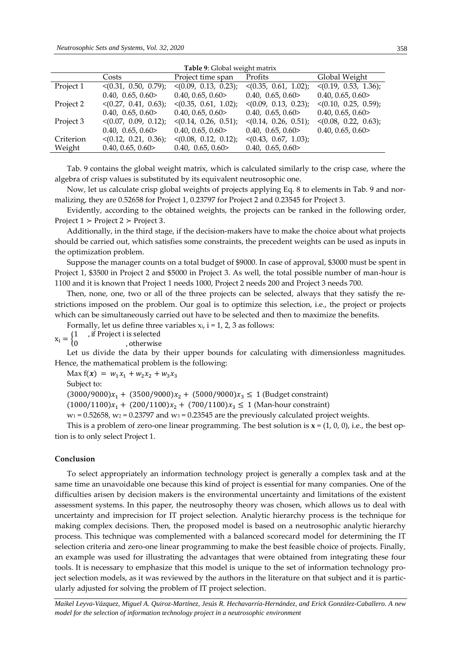| Table 9: Global weight matrix |                                      |                                      |                                      |                                      |  |
|-------------------------------|--------------------------------------|--------------------------------------|--------------------------------------|--------------------------------------|--|
|                               | Costs                                | Project time span                    | Profits                              | Global Weight                        |  |
| Project 1                     | $\langle (0.31, 0.50, 0.79) \rangle$ | $\langle (0.09, 0.13, 0.23) \rangle$ | $\langle (0.35, 0.61, 1.02) \rangle$ | $\langle (0.19, 0.53, 1.36) \rangle$ |  |
|                               | 0.40, 0.65, 0.60                     | 0.40, 0.65, 0.60                     | 0.40, 0.65, 0.60                     | 0.40, 0.65, 0.60                     |  |
| Project 2                     | $\langle (0.27, 0.41, 0.63) \rangle$ | $\langle (0.35, 0.61, 1.02) \rangle$ | $\langle (0.09, 0.13, 0.23) \rangle$ | $\langle (0.10, 0.25, 0.59) \rangle$ |  |
|                               | 0.40, 0.65, 0.60                     | 0.40, 0.65, 0.60                     | 0.40, 0.65, 0.60                     | 0.40, 0.65, 0.60                     |  |
| Project 3                     | $\langle (0.07, 0.09, 0.12) \rangle$ | $\langle (0.14, 0.26, 0.51) \rangle$ | $\langle (0.14, 0.26, 0.51) \rangle$ | $\langle (0.08, 0.22, 0.63) \rangle$ |  |
|                               | 0.40, 0.65, 0.60                     | 0.40, 0.65, 0.60                     | 0.40, 0.65, 0.60                     | 0.40, 0.65, 0.60                     |  |
| Criterion                     | $\langle (0.12, 0.21, 0.36) \rangle$ | $\langle (0.08, 0.12, 0.12) \rangle$ | $\langle (0.43, 0.67, 1.03) \rangle$ |                                      |  |
| Weight                        | 0.40, 0.65, 0.60                     | 0.40, 0.65, 0.60                     | 0.40, 0.65, 0.60                     |                                      |  |

Tab. 9 contains the global weight matrix, which is calculated similarly to the crisp case, where the algebra of crisp values is substituted by its equivalent neutrosophic one.

Now, let us calculate crisp global weights of projects applying Eq. 8 to elements in Tab. 9 and normalizing, they are 0.52658 for Project 1, 0.23797 for Project 2 and 0.23545 for Project 3.

Evidently, according to the obtained weights, the projects can be ranked in the following order, Project  $1 >$  Project  $2 >$  Project 3.

Additionally, in the third stage, if the decision-makers have to make the choice about what projects should be carried out, which satisfies some constraints, the precedent weights can be used as inputs in the optimization problem.

Suppose the manager counts on a total budget of \$9000. In case of approval, \$3000 must be spent in Project 1, \$3500 in Project 2 and \$5000 in Project 3. As well, the total possible number of man-hour is 1100 and it is known that Project 1 needs 1000, Project 2 needs 200 and Project 3 needs 700.

Then, none, one, two or all of the three projects can be selected, always that they satisfy the restrictions imposed on the problem. Our goal is to optimize this selection, i.e., the project or projects which can be simultaneously carried out have to be selected and then to maximize the benefits.

Formally, let us define three variables  $x_i$ ,  $i = 1, 2, 3$  as follows:

 $x_i = \begin{cases} 1 \\ 0 \end{cases}$ , if Project i is selected

0 , otherwise

Let us divide the data by their upper bounds for calculating with dimensionless magnitudes. Hence, the mathematical problem is the following:

Max  $f(x) = w_1 x_1 + w_2 x_2 + w_3 x_3$ 

Subject to:

 $(3000/9000)x_1 + (3500/9000)x_2 + (5000/9000)x_3 \le 1$  (Budget constraint)

 $(1000/1100)x_1 + (200/1100)x_2 + (700/1100)x_3 \le 1$  (Man-hour constraint)

 $w_1$  = 0.52658,  $w_2$  = 0.23797 and  $w_3$  = 0.23545 are the previously calculated project weights.

This is a problem of zero-one linear programming. The best solution is  $\mathbf{x} = (1, 0, 0)$ , i.e., the best option is to only select Project 1.

### **Conclusion**

To select appropriately an information technology project is generally a complex task and at the same time an unavoidable one because this kind of project is essential for many companies. One of the difficulties arisen by decision makers is the environmental uncertainty and limitations of the existent assessment systems. In this paper, the neutrosophy theory was chosen, which allows us to deal with uncertainty and imprecision for IT project selection. [Analytic hierarchy process](http://www.tucson.ars.ag.gov/icrw/Proceedings/Steiguer.pdf) is the technique for making complex decisions. Then, the proposed model is based on a neutrosophic [analytic hierarchy](http://www.tucson.ars.ag.gov/icrw/Proceedings/Steiguer.pdf)  [process.](http://www.tucson.ars.ag.gov/icrw/Proceedings/Steiguer.pdf) This technique was complemented with a balanced scorecard model for determining the IT selection criteria and zero-one linear programming to make the best feasible choice of projects. Finally, an example was used for illustrating the advantages that were obtained from integrating these four tools. It is necessary to emphasize that this model is unique to the set of information technology project selection models, as it was reviewed by the authors in the literature on that subject and it is particularly adjusted for solving the problem of IT project selection.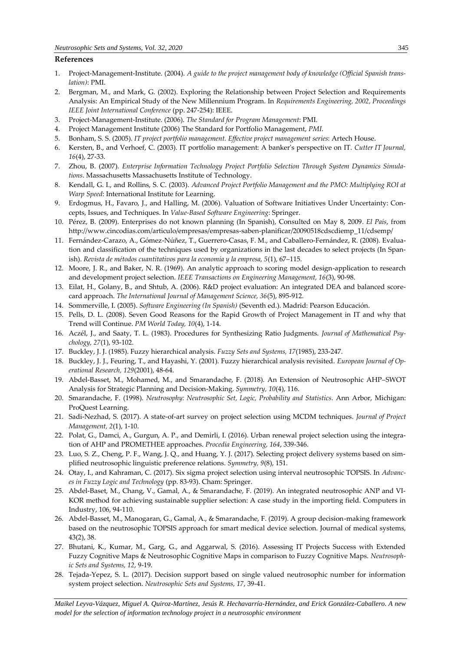# **References**

- 1. Project-Management-Institute. (2004). *A guide to the project management body of knowledge (Official Spanish translation)*: PMI.
- 2. Bergman, M., and Mark, G. (2002). Exploring the Relationship between Project Selection and Requirements Analysis: An Empirical Study of the New Millennium Program. In *Requirements Engineering, 2002, Proceedings IEEE Joint International Conference* (pp. 247-254): IEEE.
- 3. Project-Management-Institute. (2006). *The Standard for Program Management*: PMI.
- 4. Project Management Institute (2006) The Standard for Portfolio Management, *PMI*.
- 5. Bonham, S. S. (2005). *IT project portfolio management. Effective project management series*: Artech House.
- 6. Kersten, B., and Verhoef, C. (2003). IT portfolio management: A banker's perspective on IT. *Cutter IT Journal, 16*(4), 27-33.
- 7. Zhou, B. (2007). *Enterprise Information Technology Project Portfolio Selection Through System Dynamics Simulations*. Massachusetts Massachusetts Institute of Technology.
- 8. Kendall, G. I., and Rollins, S. C. (2003). *Advanced Project Portfolio Management and the PMO: Multiplying ROI at Warp Speed*: International Institute for Learning.
- 9. Erdogmus, H., Favaro, J., and Halling, M. (2006). Valuation of Software Initiatives Under Uncertainty: Concepts, Issues, and Techniques. In *Value-Based Software Engineering*: Springer.
- 10. Pérez, B. (2009). Enterprises do not known planning (In Spanish), Consulted on May 8, 2009*. El País*, from http://www.cincodias.com/articulo/empresas/empresas-saben-planificar/20090518cdscdiemp\_11/cdsemp/
- 11. Fernández-Carazo, A., Gómez-Núñez, T., Guerrero-Casas, F. M., and Caballero-Fernández, R. (2008). Evaluation and classification of the techniques used by organizations in the last decades to select projects (In Spanish). *Revista de métodos cuantitativos para la economía y la empresa, 5*(1), 67–115.
- 12. Moore, J. R., and Baker, N. R. (1969). An analytic approach to scoring model design-application to research and development project selection. *IEEE Transactions on Engineering Management, 16*(3), 90-98.
- 13. Eilat, H., Golany, B., and Shtub, A. (2006). R&D project evaluation: An integrated DEA and balanced scorecard approach. *The International Journal of Management Science, 36*(5), 895-912.
- 14. Sommerville, I. (2005). *Software Engineering (In Spanish)* (Seventh ed.). Madrid: Pearson Educación.
- 15. Pells, D. L. (2008). Seven Good Reasons for the Rapid Growth of Project Management in IT and why that Trend will Continue. *PM World Today, 10*(4), 1-14.
- 16. Aczél, J., and Saaty, T. L. (1983). Procedures for Synthesizing Ratio Judgments. *Journal of Mathematical Psychology, 27*(1), 93-102.
- 17. Buckley, J. J. (1985). Fuzzy hierarchical analysis. *Fuzzy Sets and Systems, 17*(1985), 233-247.
- 18. Buckley, J. J., Feuring, T., and Hayashi, Y. (2001). Fuzzy hierarchical analysis revisited. *European Journal of Operational Research, 129*(2001), 48-64.
- 19. Abdel-Basset, M., Mohamed, M., and Smarandache, F. (2018). An Extension of Neutrosophic AHP–SWOT Analysis for Strategic Planning and Decision-Making. *Symmetry, 10*(4), 116.
- 20. Smarandache, F. (1998). *Neutrosophy: Neutrosophic Set, Logic, Probability and Statistics*. Ann Arbor, Michigan: ProQuest Learning.
- 21. Sadi-Nezhad, S. (2017). A state-of-art survey on project selection using MCDM techniques. *Journal of Project Management, 2*(1), 1-10.
- 22. Polat, G., Damci, A., Gurgun, A. P., and Demirli, I. (2016). Urban renewal project selection using the integration of AHP and PROMETHEE approaches. *Procedia Engineering, 164*, 339-346.
- 23. Luo, S. Z., Cheng, P. F., Wang, J. Q., and Huang, Y. J. (2017). Selecting project delivery systems based on simplified neutrosophic linguistic preference relations. *Symmetry, 9*(8), 151.
- 24. Otay, I., and Kahraman, C. (2017). Six sigma project selection using interval neutrosophic TOPSIS. In *Advances in Fuzzy Logic and Technology* (pp. 83-93). Cham: Springer.
- 25. Abdel-Baset, M., Chang, V., Gamal, A., & Smarandache, F. (2019). An integrated neutrosophic ANP and VI-KOR method for achieving sustainable supplier selection: A case study in the importing field. Computers in Industry, 106, 94-110.
- 26. Abdel-Basset, M., Manogaran, G., Gamal, A., & Smarandache, F. (2019). A group decision-making framework based on the neutrosophic TOPSIS approach for smart medical device selection. Journal of medical systems, 43(2), 38.
- 27. Bhutani, K., Kumar, M., Garg, G., and Aggarwal, S. (2016). Assessing IT Projects Success with Extended Fuzzy Cognitive Maps & Neutrosophic Cognitive Maps in comparison to Fuzzy Cognitive Maps. *Neutrosophic Sets and Systems, 12*, 9-19.
- 28. Tejada-Yepez, S. L. (2017). Decision support based on single valued neutrosophic number for information system project selection. *Neutrosophic Sets and Systems, 17*, 39-41.